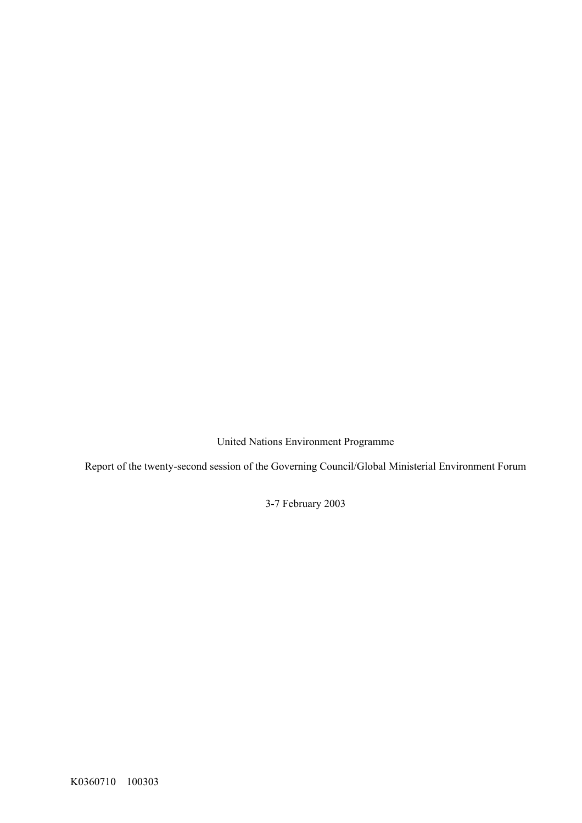United Nations Environment Programme

<span id="page-0-1"></span><span id="page-0-0"></span>Report of the twenty-second session of the Governing Council/Global Ministerial Environment Forum

3-7 February 2003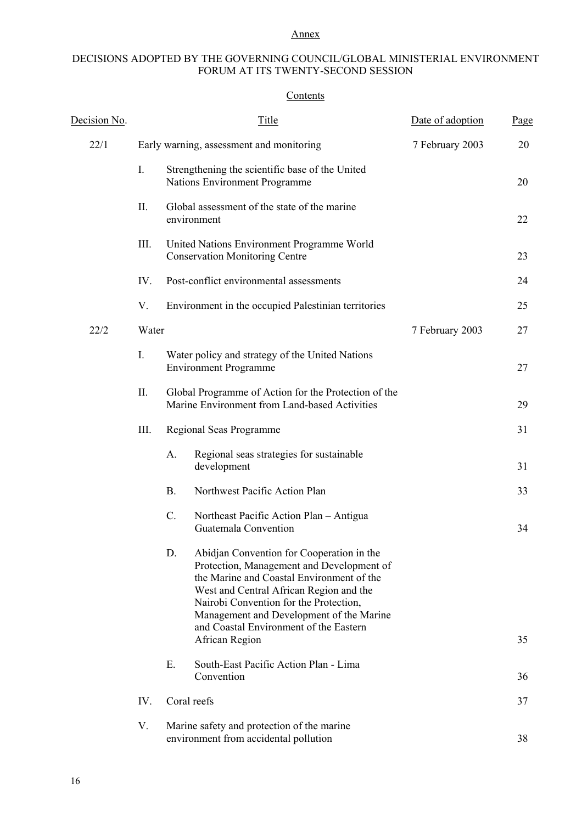# Annex

# DECISIONS ADOPTED BY THE GOVERNING COUNCIL/GLOBAL MINISTERIAL ENVIRONMENT FORUM AT ITS TWENTY-SECOND SESSION

# **Contents**

| Decision No. |                | Title                                                                                                                                                                                                                                                                                                                | Date of adoption | Page |
|--------------|----------------|----------------------------------------------------------------------------------------------------------------------------------------------------------------------------------------------------------------------------------------------------------------------------------------------------------------------|------------------|------|
| 22/1         |                | Early warning, assessment and monitoring                                                                                                                                                                                                                                                                             | 7 February 2003  | 20   |
|              | $\mathbf{I}$ . | Strengthening the scientific base of the United<br>Nations Environment Programme                                                                                                                                                                                                                                     |                  | 20   |
|              | II.            | Global assessment of the state of the marine<br>environment                                                                                                                                                                                                                                                          |                  | 22   |
|              | III.           | United Nations Environment Programme World<br><b>Conservation Monitoring Centre</b>                                                                                                                                                                                                                                  |                  | 23   |
|              | IV.            | Post-conflict environmental assessments                                                                                                                                                                                                                                                                              |                  | 24   |
|              | V.             | Environment in the occupied Palestinian territories                                                                                                                                                                                                                                                                  |                  | 25   |
| 22/2         | Water          |                                                                                                                                                                                                                                                                                                                      | 7 February 2003  | 27   |
|              | $I_{\cdot}$    | Water policy and strategy of the United Nations<br><b>Environment Programme</b>                                                                                                                                                                                                                                      |                  | 27   |
|              | II.            | Global Programme of Action for the Protection of the<br>Marine Environment from Land-based Activities                                                                                                                                                                                                                |                  | 29   |
|              | III.           | Regional Seas Programme                                                                                                                                                                                                                                                                                              |                  | 31   |
|              |                | Regional seas strategies for sustainable<br>A.<br>development                                                                                                                                                                                                                                                        |                  | 31   |
|              |                | Northwest Pacific Action Plan<br><b>B.</b>                                                                                                                                                                                                                                                                           |                  | 33   |
|              |                | C.<br>Northeast Pacific Action Plan - Antigua<br>Guatemala Convention                                                                                                                                                                                                                                                |                  | 34   |
|              |                | D.<br>Abidjan Convention for Cooperation in the<br>Protection, Management and Development of<br>the Marine and Coastal Environment of the<br>West and Central African Region and the<br>Nairobi Convention for the Protection,<br>Management and Development of the Marine<br>and Coastal Environment of the Eastern |                  |      |
|              |                | African Region                                                                                                                                                                                                                                                                                                       |                  | 35   |
|              |                | Ε.<br>South-East Pacific Action Plan - Lima<br>Convention                                                                                                                                                                                                                                                            |                  | 36   |
|              | IV.            | Coral reefs                                                                                                                                                                                                                                                                                                          |                  | 37   |
|              | V.             | Marine safety and protection of the marine<br>environment from accidental pollution                                                                                                                                                                                                                                  |                  | 38   |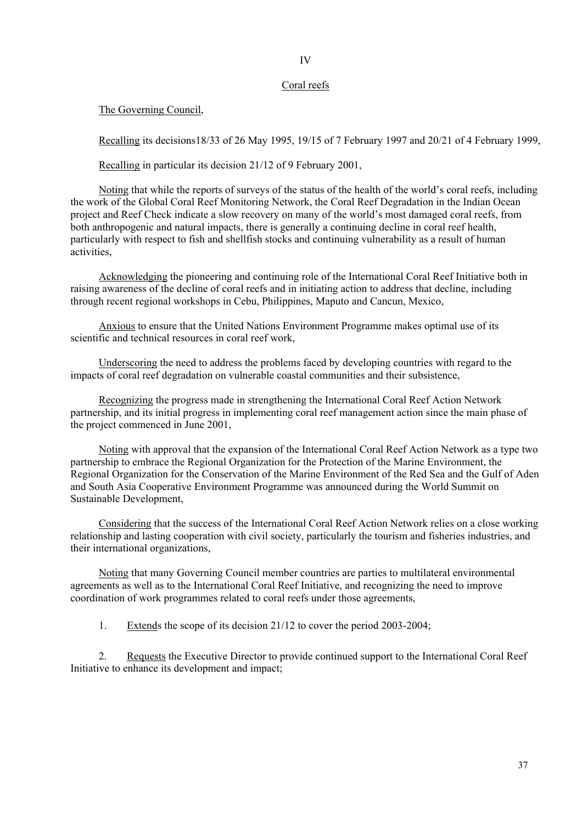## Coral reefs

The Governing Council,

Recalling its decisions18/33 of 26 May 1995, 19/15 of 7 February 1997 and 20/21 of 4 February 1999,

Recalling in particular its decision 21/12 of 9 February 2001,

Noting that while the reports of surveys of the status of the health of the world's coral reefs, including the work of the Global Coral Reef Monitoring Network, the Coral Reef Degradation in the Indian Ocean project and Reef Check indicate a slow recovery on many of the world's most damaged coral reefs, from both anthropogenic and natural impacts, there is generally a continuing decline in coral reef health, particularly with respect to fish and shellfish stocks and continuing vulnerability as a result of human activities,

Acknowledging the pioneering and continuing role of the International Coral Reef Initiative both in raising awareness of the decline of coral reefs and in initiating action to address that decline, including through recent regional workshops in Cebu, Philippines, Maputo and Cancun, Mexico,

Anxious to ensure that the United Nations Environment Programme makes optimal use of its scientific and technical resources in coral reef work

Underscoring the need to address the problems faced by developing countries with regard to the impacts of coral reef degradation on vulnerable coastal communities and their subsistence,

Recognizing the progress made in strengthening the International Coral Reef Action Network partnership, and its initial progress in implementing coral reef management action since the main phase of the project commenced in June 2001,

Noting with approval that the expansion of the International Coral Reef Action Network as a type two partnership to embrace the Regional Organization for the Protection of the Marine Environment, the Regional Organization for the Conservation of the Marine Environment of the Red Sea and the Gulf of Aden and South Asia Cooperative Environment Programme was announced during the World Summit on Sustainable Development,

Considering that the success of the International Coral Reef Action Network relies on a close working relationship and lasting cooperation with civil society, particularly the tourism and fisheries industries, and their international organizations,

Noting that many Governing Council member countries are parties to multilateral environmental agreements as well as to the International Coral Reef Initiative, and recognizing the need to improve coordination of work programmes related to coral reefs under those agreements,

1. Extends the scope of its decision 21/12 to cover the period 2003-2004;

2. Requests the Executive Director to provide continued support to the International Coral Reef Initiative to enhance its development and impact;